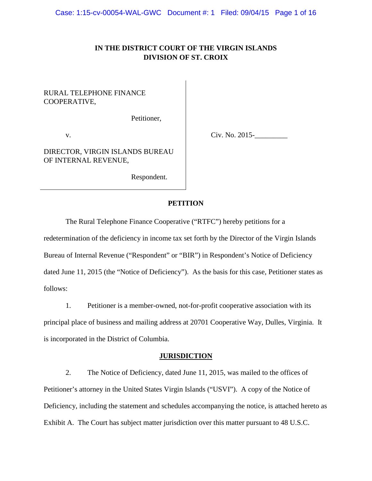# **IN THE DISTRICT COURT OF THE VIRGIN ISLANDS DIVISION OF ST. CROIX**

## RURAL TELEPHONE FINANCE COOPERATIVE,

Petitioner,

v.

Civ. No. 2015-\_\_\_\_\_\_\_\_\_

DIRECTOR, VIRGIN ISLANDS BUREAU OF INTERNAL REVENUE,

Respondent.

### **PETITION**

The Rural Telephone Finance Cooperative ("RTFC") hereby petitions for a

redetermination of the deficiency in income tax set forth by the Director of the Virgin Islands Bureau of Internal Revenue ("Respondent" or "BIR") in Respondent's Notice of Deficiency dated June 11, 2015 (the "Notice of Deficiency"). As the basis for this case, Petitioner states as follows:

1. Petitioner is a member-owned, not-for-profit cooperative association with its principal place of business and mailing address at 20701 Cooperative Way, Dulles, Virginia. It is incorporated in the District of Columbia.

#### **JURISDICTION**

2. The Notice of Deficiency, dated June 11, 2015, was mailed to the offices of Petitioner's attorney in the United States Virgin Islands ("USVI"). A copy of the Notice of Deficiency, including the statement and schedules accompanying the notice, is attached hereto as Exhibit A. The Court has subject matter jurisdiction over this matter pursuant to 48 U.S.C.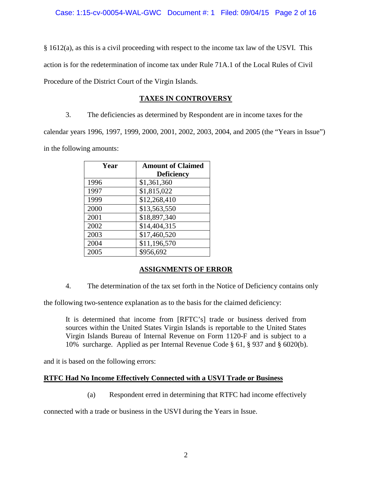§ 1612(a), as this is a civil proceeding with respect to the income tax law of the USVI. This action is for the redetermination of income tax under Rule 71A.1 of the Local Rules of Civil Procedure of the District Court of the Virgin Islands.

# **TAXES IN CONTROVERSY**

3. The deficiencies as determined by Respondent are in income taxes for the calendar years 1996, 1997, 1999, 2000, 2001, 2002, 2003, 2004, and 2005 (the "Years in Issue") in the following amounts:

| Year | <b>Amount of Claimed</b> |
|------|--------------------------|
|      | <b>Deficiency</b>        |
| 1996 | \$1,361,360              |
| 1997 | \$1,815,022              |
| 1999 | \$12,268,410             |
| 2000 | \$13,563,550             |
| 2001 | \$18,897,340             |
| 2002 | \$14,404,315             |
| 2003 | \$17,460,520             |
| 2004 | \$11,196,570             |
| 2005 | \$956,692                |

# **ASSIGNMENTS OF ERROR**

4. The determination of the tax set forth in the Notice of Deficiency contains only

the following two-sentence explanation as to the basis for the claimed deficiency:

It is determined that income from [RFTC's] trade or business derived from sources within the United States Virgin Islands is reportable to the United States Virgin Islands Bureau of Internal Revenue on Form 1120-F and is subject to a 10% surcharge. Applied as per Internal Revenue Code § 61, § 937 and § 6020(b).

and it is based on the following errors:

# **RTFC Had No Income Effectively Connected with a USVI Trade or Business**

(a) Respondent erred in determining that RTFC had income effectively

connected with a trade or business in the USVI during the Years in Issue.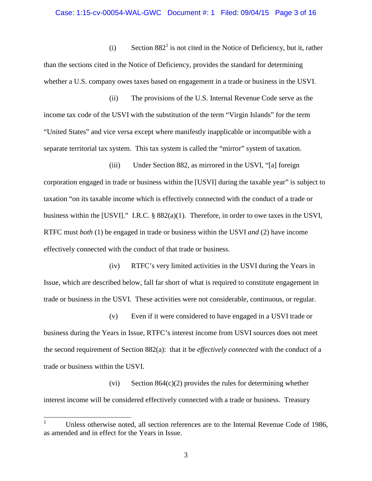#### Case: 1:15-cv-00054-WAL-GWC Document #: 1 Filed: 09/04/15 Page 3 of 16

(i) Section  $882<sup>1</sup>$  $882<sup>1</sup>$  $882<sup>1</sup>$  is not cited in the Notice of Deficiency, but it, rather than the sections cited in the Notice of Deficiency, provides the standard for determining whether a U.S. company owes taxes based on engagement in a trade or business in the USVI.

(ii) The provisions of the U.S. Internal Revenue Code serve as the income tax code of the USVI with the substitution of the term "Virgin Islands" for the term "United States" and vice versa except where manifestly inapplicable or incompatible with a separate territorial tax system. This tax system is called the "mirror" system of taxation.

(iii) Under Section 882, as mirrored in the USVI, "[a] foreign corporation engaged in trade or business within the [USVI] during the taxable year" is subject to taxation "on its taxable income which is effectively connected with the conduct of a trade or business within the [USVI]." I.R.C. § 882(a)(1). Therefore, in order to owe taxes in the USVI, RTFC must *both* (1) be engaged in trade or business within the USVI *and* (2) have income effectively connected with the conduct of that trade or business.

(iv) RTFC's very limited activities in the USVI during the Years in Issue, which are described below, fall far short of what is required to constitute engagement in trade or business in the USVI. These activities were not considerable, continuous, or regular.

(v) Even if it were considered to have engaged in a USVI trade or business during the Years in Issue, RTFC's interest income from USVI sources does not meet the second requirement of Section 882(a): that it be *effectively connected* with the conduct of a trade or business within the USVI.

(vi) Section  $864(c)(2)$  provides the rules for determining whether interest income will be considered effectively connected with a trade or business. Treasury

<span id="page-2-0"></span><sup>&</sup>lt;sup>1</sup> Unless otherwise noted, all section references are to the Internal Revenue Code of 1986, as amended and in effect for the Years in Issue.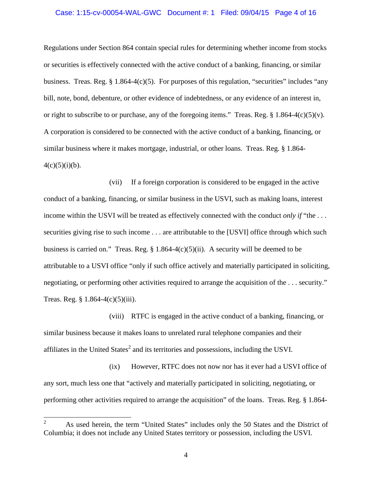#### Case: 1:15-cv-00054-WAL-GWC Document #: 1 Filed: 09/04/15 Page 4 of 16

Regulations under Section 864 contain special rules for determining whether income from stocks or securities is effectively connected with the active conduct of a banking, financing, or similar business. Treas. Reg.  $\S 1.864-4(c)(5)$ . For purposes of this regulation, "securities" includes "any bill, note, bond, debenture, or other evidence of indebtedness, or any evidence of an interest in, or right to subscribe to or purchase, any of the foregoing items." Treas. Reg.  $\S 1.864-4(c)(5)(v)$ . A corporation is considered to be connected with the active conduct of a banking, financing, or similar business where it makes mortgage, industrial, or other loans. Treas. Reg. § 1.864-  $4(c)(5)(i)(b)$ .

(vii) If a foreign corporation is considered to be engaged in the active conduct of a banking, financing, or similar business in the USVI, such as making loans, interest income within the USVI will be treated as effectively connected with the conduct *only if* "the . . . securities giving rise to such income . . . are attributable to the [USVI] office through which such business is carried on." Treas. Reg.  $\S 1.864-4(c)(5)(ii)$ . A security will be deemed to be attributable to a USVI office "only if such office actively and materially participated in soliciting, negotiating, or performing other activities required to arrange the acquisition of the . . . security." Treas. Reg. § 1.864-4(c)(5)(iii).

(viii) RTFC is engaged in the active conduct of a banking, financing, or similar business because it makes loans to unrelated rural telephone companies and their affiliatesin the United State[s](#page-3-0)<sup>2</sup> and its territories and possessions, including the USVI.

(ix) However, RTFC does not now nor has it ever had a USVI office of any sort, much less one that "actively and materially participated in soliciting, negotiating, or performing other activities required to arrange the acquisition" of the loans. Treas. Reg. § 1.864-

<span id="page-3-0"></span><sup>&</sup>lt;sup>2</sup> As used herein, the term "United States" includes only the 50 States and the District of Columbia; it does not include any United States territory or possession, including the USVI.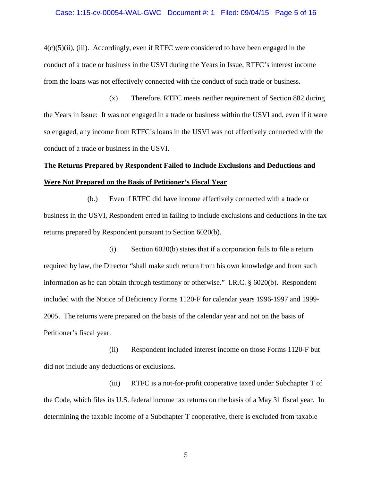#### Case: 1:15-cv-00054-WAL-GWC Document #: 1 Filed: 09/04/15 Page 5 of 16

 $4(c)(5)(ii)$ , (iii). Accordingly, even if RTFC were considered to have been engaged in the conduct of a trade or business in the USVI during the Years in Issue, RTFC's interest income from the loans was not effectively connected with the conduct of such trade or business.

(x) Therefore, RTFC meets neither requirement of Section 882 during the Years in Issue: It was not engaged in a trade or business within the USVI and, even if it were so engaged, any income from RTFC's loans in the USVI was not effectively connected with the conduct of a trade or business in the USVI.

# **The Returns Prepared by Respondent Failed to Include Exclusions and Deductions and Were Not Prepared on the Basis of Petitioner's Fiscal Year**

(b.) Even if RTFC did have income effectively connected with a trade or business in the USVI, Respondent erred in failing to include exclusions and deductions in the tax returns prepared by Respondent pursuant to Section 6020(b).

(i) Section 6020(b) states that if a corporation fails to file a return required by law, the Director "shall make such return from his own knowledge and from such information as he can obtain through testimony or otherwise." I.R.C. § 6020(b). Respondent included with the Notice of Deficiency Forms 1120-F for calendar years 1996-1997 and 1999- 2005. The returns were prepared on the basis of the calendar year and not on the basis of Petitioner's fiscal year.

(ii) Respondent included interest income on those Forms 1120-F but did not include any deductions or exclusions.

(iii) RTFC is a not-for-profit cooperative taxed under Subchapter T of the Code, which files its U.S. federal income tax returns on the basis of a May 31 fiscal year. In determining the taxable income of a Subchapter T cooperative, there is excluded from taxable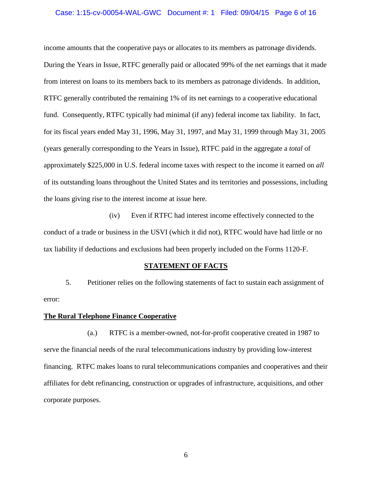#### Case: 1:15-cv-00054-WAL-GWC Document #: 1 Filed: 09/04/15 Page 6 of 16

income amounts that the cooperative pays or allocates to its members as patronage dividends. During the Years in Issue, RTFC generally paid or allocated 99% of the net earnings that it made from interest on loans to its members back to its members as patronage dividends. In addition, RTFC generally contributed the remaining 1% of its net earnings to a cooperative educational fund. Consequently, RTFC typically had minimal (if any) federal income tax liability. In fact, for its fiscal years ended May 31, 1996, May 31, 1997, and May 31, 1999 through May 31, 2005 (years generally corresponding to the Years in Issue), RTFC paid in the aggregate a *total* of approximately \$225,000 in U.S. federal income taxes with respect to the income it earned on *all* of its outstanding loans throughout the United States and its territories and possessions, including the loans giving rise to the interest income at issue here.

(iv) Even if RTFC had interest income effectively connected to the conduct of a trade or business in the USVI (which it did not), RTFC would have had little or no tax liability if deductions and exclusions had been properly included on the Forms 1120-F.

#### **STATEMENT OF FACTS**

5. Petitioner relies on the following statements of fact to sustain each assignment of error:

#### **The Rural Telephone Finance Cooperative**

(a.) RTFC is a member-owned, not-for-profit cooperative created in 1987 to serve the financial needs of the rural telecommunications industry by providing low-interest financing. RTFC makes loans to rural telecommunications companies and cooperatives and their affiliates for debt refinancing, construction or upgrades of infrastructure, acquisitions, and other corporate purposes.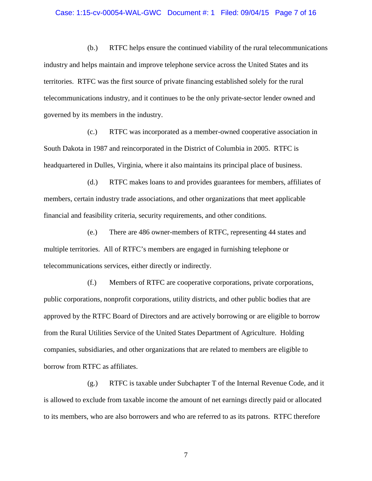#### Case: 1:15-cv-00054-WAL-GWC Document #: 1 Filed: 09/04/15 Page 7 of 16

(b.) RTFC helps ensure the continued viability of the rural telecommunications industry and helps maintain and improve telephone service across the United States and its territories. RTFC was the first source of private financing established solely for the rural telecommunications industry, and it continues to be the only private-sector lender owned and governed by its members in the industry.

(c.) RTFC was incorporated as a member-owned cooperative association in South Dakota in 1987 and reincorporated in the District of Columbia in 2005. RTFC is headquartered in Dulles, Virginia, where it also maintains its principal place of business.

(d.) RTFC makes loans to and provides guarantees for members, affiliates of members, certain industry trade associations, and other organizations that meet applicable financial and feasibility criteria, security requirements, and other conditions.

(e.) There are 486 owner-members of RTFC, representing 44 states and multiple territories. All of RTFC's members are engaged in furnishing telephone or telecommunications services, either directly or indirectly.

(f.) Members of RTFC are cooperative corporations, private corporations, public corporations, nonprofit corporations, utility districts, and other public bodies that are approved by the RTFC Board of Directors and are actively borrowing or are eligible to borrow from the Rural Utilities Service of the United States Department of Agriculture. Holding companies, subsidiaries, and other organizations that are related to members are eligible to borrow from RTFC as affiliates.

(g.) RTFC is taxable under Subchapter T of the Internal Revenue Code, and it is allowed to exclude from taxable income the amount of net earnings directly paid or allocated to its members, who are also borrowers and who are referred to as its patrons. RTFC therefore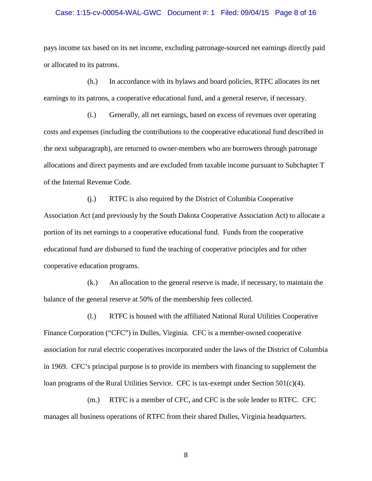#### Case: 1:15-cv-00054-WAL-GWC Document #: 1 Filed: 09/04/15 Page 8 of 16

pays income tax based on its net income, excluding patronage-sourced net earnings directly paid or allocated to its patrons.

(h.) In accordance with its bylaws and board policies, RTFC allocates its net earnings to its patrons, a cooperative educational fund, and a general reserve, if necessary.

(i.) Generally, all net earnings, based on excess of revenues over operating costs and expenses (including the contributions to the cooperative educational fund described in the next subparagraph), are returned to owner-members who are borrowers through patronage allocations and direct payments and are excluded from taxable income pursuant to Subchapter T of the Internal Revenue Code.

(j.) RTFC is also required by the District of Columbia Cooperative Association Act (and previously by the South Dakota Cooperative Association Act) to allocate a portion of its net earnings to a cooperative educational fund. Funds from the cooperative educational fund are disbursed to fund the teaching of cooperative principles and for other cooperative education programs.

(k.) An allocation to the general reserve is made, if necessary, to maintain the balance of the general reserve at 50% of the membership fees collected.

(l.) RTFC is housed with the affiliated National Rural Utilities Cooperative Finance Corporation ("CFC") in Dulles, Virginia. CFC is a member-owned cooperative association for rural electric cooperatives incorporated under the laws of the District of Columbia in 1969. CFC's principal purpose is to provide its members with financing to supplement the loan programs of the Rural Utilities Service. CFC is tax-exempt under Section  $501(c)(4)$ .

(m.) RTFC is a member of CFC, and CFC is the sole lender to RTFC. CFC manages all business operations of RTFC from their shared Dulles, Virginia headquarters.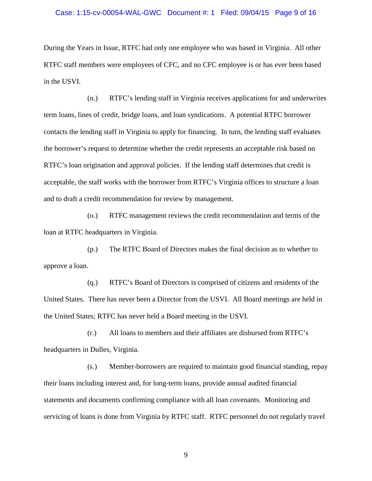#### Case: 1:15-cv-00054-WAL-GWC Document #: 1 Filed: 09/04/15 Page 9 of 16

During the Years in Issue, RTFC had only one employee who was based in Virginia. All other RTFC staff members were employees of CFC, and no CFC employee is or has ever been based in the USVI.

(n.) RTFC's lending staff in Virginia receives applications for and underwrites term loans, lines of credit, bridge loans, and loan syndications. A potential RTFC borrower contacts the lending staff in Virginia to apply for financing. In turn, the lending staff evaluates the borrower's request to determine whether the credit represents an acceptable risk based on RTFC's loan origination and approval policies. If the lending staff determines that credit is acceptable, the staff works with the borrower from RTFC's Virginia offices to structure a loan and to draft a credit recommendation for review by management.

(o.) RTFC management reviews the credit recommendation and terms of the loan at RTFC headquarters in Virginia.

(p.) The RTFC Board of Directors makes the final decision as to whether to approve a loan.

(q.) RTFC's Board of Directors is comprised of citizens and residents of the United States. There has never been a Director from the USVI. All Board meetings are held in the United States; RTFC has never held a Board meeting in the USVI.

(r.) All loans to members and their affiliates are disbursed from RTFC's headquarters in Dulles, Virginia.

(s.) Member-borrowers are required to maintain good financial standing, repay their loans including interest and, for long-term loans, provide annual audited financial statements and documents confirming compliance with all loan covenants. Monitoring and servicing of loans is done from Virginia by RTFC staff. RTFC personnel do not regularly travel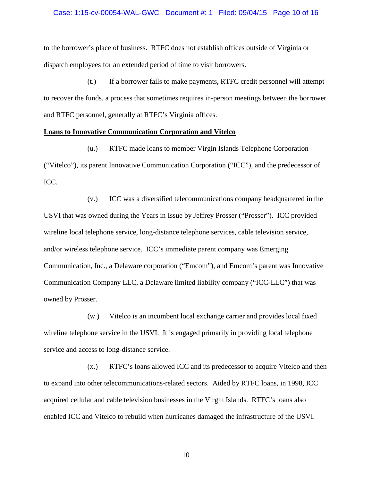#### Case: 1:15-cv-00054-WAL-GWC Document #: 1 Filed: 09/04/15 Page 10 of 16

to the borrower's place of business. RTFC does not establish offices outside of Virginia or dispatch employees for an extended period of time to visit borrowers.

(t.) If a borrower fails to make payments, RTFC credit personnel will attempt to recover the funds, a process that sometimes requires in-person meetings between the borrower and RTFC personnel, generally at RTFC's Virginia offices.

#### **Loans to Innovative Communication Corporation and Vitelco**

(u.) RTFC made loans to member Virgin Islands Telephone Corporation ("Vitelco"), its parent Innovative Communication Corporation ("ICC"), and the predecessor of ICC.

(v.) ICC was a diversified telecommunications company headquartered in the USVI that was owned during the Years in Issue by Jeffrey Prosser ("Prosser"). ICC provided wireline local telephone service, long-distance telephone services, cable television service, and/or wireless telephone service. ICC's immediate parent company was Emerging Communication, Inc., a Delaware corporation ("Emcom"), and Emcom's parent was Innovative Communication Company LLC, a Delaware limited liability company ("ICC-LLC") that was owned by Prosser.

(w.) Vitelco is an incumbent local exchange carrier and provides local fixed wireline telephone service in the USVI. It is engaged primarily in providing local telephone service and access to long-distance service.

(x.) RTFC's loans allowed ICC and its predecessor to acquire Vitelco and then to expand into other telecommunications-related sectors. Aided by RTFC loans, in 1998, ICC acquired cellular and cable television businesses in the Virgin Islands. RTFC's loans also enabled ICC and Vitelco to rebuild when hurricanes damaged the infrastructure of the USVI.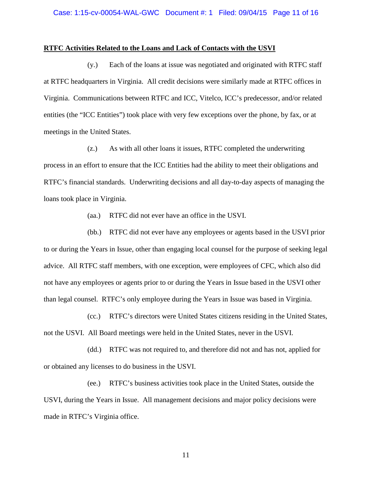#### **RTFC Activities Related to the Loans and Lack of Contacts with the USVI**

(y.) Each of the loans at issue was negotiated and originated with RTFC staff at RTFC headquarters in Virginia. All credit decisions were similarly made at RTFC offices in Virginia. Communications between RTFC and ICC, Vitelco, ICC's predecessor, and/or related entities (the "ICC Entities") took place with very few exceptions over the phone, by fax, or at meetings in the United States.

(z.) As with all other loans it issues, RTFC completed the underwriting process in an effort to ensure that the ICC Entities had the ability to meet their obligations and RTFC's financial standards. Underwriting decisions and all day-to-day aspects of managing the loans took place in Virginia.

(aa.) RTFC did not ever have an office in the USVI.

(bb.) RTFC did not ever have any employees or agents based in the USVI prior to or during the Years in Issue, other than engaging local counsel for the purpose of seeking legal advice. All RTFC staff members, with one exception, were employees of CFC, which also did not have any employees or agents prior to or during the Years in Issue based in the USVI other than legal counsel. RTFC's only employee during the Years in Issue was based in Virginia.

(cc.) RTFC's directors were United States citizens residing in the United States, not the USVI. All Board meetings were held in the United States, never in the USVI.

(dd.) RTFC was not required to, and therefore did not and has not, applied for or obtained any licenses to do business in the USVI.

(ee.) RTFC's business activities took place in the United States, outside the USVI, during the Years in Issue. All management decisions and major policy decisions were made in RTFC's Virginia office.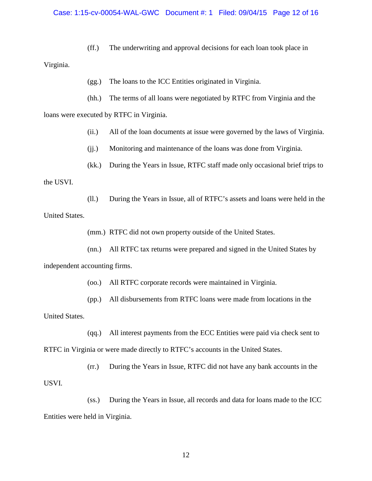#### Case: 1:15-cv-00054-WAL-GWC Document #: 1 Filed: 09/04/15 Page 12 of 16

(ff.) The underwriting and approval decisions for each loan took place in

Virginia.

(gg.) The loans to the ICC Entities originated in Virginia.

(hh.) The terms of all loans were negotiated by RTFC from Virginia and the

loans were executed by RTFC in Virginia.

(ii.) All of the loan documents at issue were governed by the laws of Virginia.

(jj.) Monitoring and maintenance of the loans was done from Virginia.

(kk.) During the Years in Issue, RTFC staff made only occasional brief trips to

the USVI.

(ll.) During the Years in Issue, all of RTFC's assets and loans were held in the United States.

(mm.) RTFC did not own property outside of the United States.

(nn.) All RTFC tax returns were prepared and signed in the United States by

independent accounting firms.

(oo.) All RTFC corporate records were maintained in Virginia.

(pp.) All disbursements from RTFC loans were made from locations in the

United States.

(qq.) All interest payments from the ECC Entities were paid via check sent to RTFC in Virginia or were made directly to RTFC's accounts in the United States.

(rr.) During the Years in Issue, RTFC did not have any bank accounts in the USVI.

(ss.) During the Years in Issue, all records and data for loans made to the ICC Entities were held in Virginia.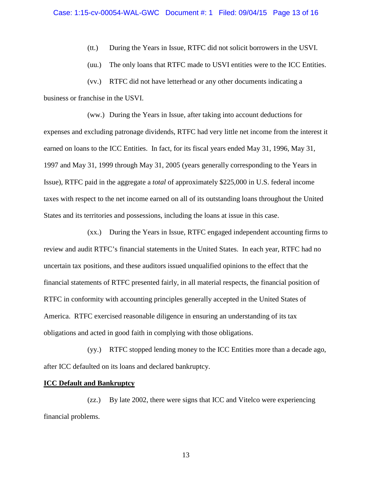(tt.) During the Years in Issue, RTFC did not solicit borrowers in the USVI.

(uu.) The only loans that RTFC made to USVI entities were to the ICC Entities.

(vv.) RTFC did not have letterhead or any other documents indicating a business or franchise in the USVI.

(ww.) During the Years in Issue, after taking into account deductions for expenses and excluding patronage dividends, RTFC had very little net income from the interest it earned on loans to the ICC Entities. In fact, for its fiscal years ended May 31, 1996, May 31, 1997 and May 31, 1999 through May 31, 2005 (years generally corresponding to the Years in Issue), RTFC paid in the aggregate a *total* of approximately \$225,000 in U.S. federal income taxes with respect to the net income earned on all of its outstanding loans throughout the United States and its territories and possessions, including the loans at issue in this case.

(xx.) During the Years in Issue, RTFC engaged independent accounting firms to review and audit RTFC's financial statements in the United States. In each year, RTFC had no uncertain tax positions, and these auditors issued unqualified opinions to the effect that the financial statements of RTFC presented fairly, in all material respects, the financial position of RTFC in conformity with accounting principles generally accepted in the United States of America. RTFC exercised reasonable diligence in ensuring an understanding of its tax obligations and acted in good faith in complying with those obligations.

(yy.) RTFC stopped lending money to the ICC Entities more than a decade ago, after ICC defaulted on its loans and declared bankruptcy.

#### **ICC Default and Bankruptcy**

(zz.) By late 2002, there were signs that ICC and Vitelco were experiencing financial problems.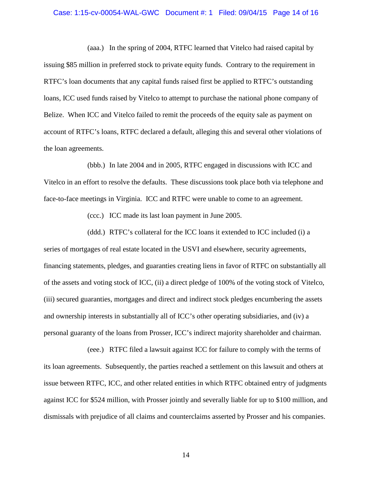#### Case: 1:15-cv-00054-WAL-GWC Document #: 1 Filed: 09/04/15 Page 14 of 16

(aaa.) In the spring of 2004, RTFC learned that Vitelco had raised capital by issuing \$85 million in preferred stock to private equity funds. Contrary to the requirement in RTFC's loan documents that any capital funds raised first be applied to RTFC's outstanding loans, ICC used funds raised by Vitelco to attempt to purchase the national phone company of Belize. When ICC and Vitelco failed to remit the proceeds of the equity sale as payment on account of RTFC's loans, RTFC declared a default, alleging this and several other violations of the loan agreements.

(bbb.) In late 2004 and in 2005, RTFC engaged in discussions with ICC and Vitelco in an effort to resolve the defaults. These discussions took place both via telephone and face-to-face meetings in Virginia. ICC and RTFC were unable to come to an agreement.

(ccc.) ICC made its last loan payment in June 2005.

(ddd.) RTFC's collateral for the ICC loans it extended to ICC included (i) a series of mortgages of real estate located in the USVI and elsewhere, security agreements, financing statements, pledges, and guaranties creating liens in favor of RTFC on substantially all of the assets and voting stock of ICC, (ii) a direct pledge of 100% of the voting stock of Vitelco, (iii) secured guaranties, mortgages and direct and indirect stock pledges encumbering the assets and ownership interests in substantially all of ICC's other operating subsidiaries, and (iv) a personal guaranty of the loans from Prosser, ICC's indirect majority shareholder and chairman.

(eee.) RTFC filed a lawsuit against ICC for failure to comply with the terms of its loan agreements. Subsequently, the parties reached a settlement on this lawsuit and others at issue between RTFC, ICC, and other related entities in which RTFC obtained entry of judgments against ICC for \$524 million, with Prosser jointly and severally liable for up to \$100 million, and dismissals with prejudice of all claims and counterclaims asserted by Prosser and his companies.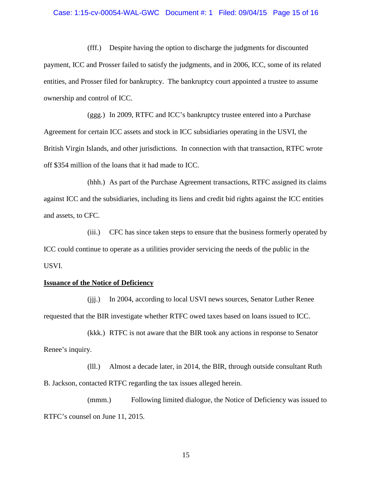## Case: 1:15-cv-00054-WAL-GWC Document #: 1 Filed: 09/04/15 Page 15 of 16

(fff.) Despite having the option to discharge the judgments for discounted payment, ICC and Prosser failed to satisfy the judgments, and in 2006, ICC, some of its related entities, and Prosser filed for bankruptcy. The bankruptcy court appointed a trustee to assume ownership and control of ICC.

(ggg.) In 2009, RTFC and ICC's bankruptcy trustee entered into a Purchase Agreement for certain ICC assets and stock in ICC subsidiaries operating in the USVI, the British Virgin Islands, and other jurisdictions. In connection with that transaction, RTFC wrote off \$354 million of the loans that it had made to ICC.

(hhh.) As part of the Purchase Agreement transactions, RTFC assigned its claims against ICC and the subsidiaries, including its liens and credit bid rights against the ICC entities and assets, to CFC.

(iii.) CFC has since taken steps to ensure that the business formerly operated by ICC could continue to operate as a utilities provider servicing the needs of the public in the USVI.

#### **Issuance of the Notice of Deficiency**

(jjj.) In 2004, according to local USVI news sources, Senator Luther Renee requested that the BIR investigate whether RTFC owed taxes based on loans issued to ICC.

(kkk.) RTFC is not aware that the BIR took any actions in response to Senator Renee's inquiry.

(lll.) Almost a decade later, in 2014, the BIR, through outside consultant Ruth B. Jackson, contacted RTFC regarding the tax issues alleged herein.

(mmm.) Following limited dialogue, the Notice of Deficiency was issued to RTFC's counsel on June 11, 2015.